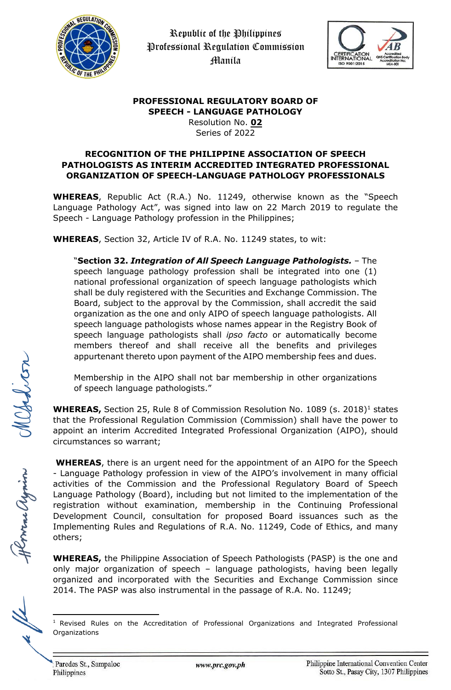



## **PROFESSIONAL REGULATORY BOARD OF SPEECH - LANGUAGE PATHOLOGY**

Resolution No. **02** Series of 2022

## **RECOGNITION OF THE PHILIPPINE ASSOCIATION OF SPEECH PATHOLOGISTS AS INTERIM ACCREDITED INTEGRATED PROFESSIONAL ORGANIZATION OF SPEECH-LANGUAGE PATHOLOGY PROFESSIONALS**

**WHEREAS**, Republic Act (R.A.) No. 11249, otherwise known as the "Speech Language Pathology Act", was signed into law on 22 March 2019 to regulate the Speech - Language Pathology profession in the Philippines;

**WHEREAS**, Section 32, Article IV of R.A. No. 11249 states, to wit:

"**Section 32.** *Integration of All Speech Language Pathologists.* – The speech language pathology profession shall be integrated into one (1) national professional organization of speech language pathologists which shall be duly registered with the Securities and Exchange Commission. The Board, subject to the approval by the Commission, shall accredit the said organization as the one and only AIPO of speech language pathologists. All speech language pathologists whose names appear in the Registry Book of speech language pathologists shall *ipso facto* or automatically become members thereof and shall receive all the benefits and privileges appurtenant thereto upon payment of the AIPO membership fees and dues.

Membership in the AIPO shall not bar membership in other organizations of speech language pathologists."

**WHEREAS,** Section 25, Rule 8 of Commission Resolution No. 1089 (s. 2018)<sup>1</sup> states that the Professional Regulation Commission (Commission) shall have the power to appoint an interim Accredited Integrated Professional Organization (AIPO), should circumstances so warrant;

**WHEREAS**, there is an urgent need for the appointment of an AIPO for the Speech - Language Pathology profession in view of the AIPO's involvement in many official activities of the Commission and the Professional Regulatory Board of Speech Language Pathology (Board), including but not limited to the implementation of the registration without examination, membership in the Continuing Professional Development Council, consultation for proposed Board issuances such as the Implementing Rules and Regulations of R.A. No. 11249, Code of Ethics, and many others;

**WHEREAS,** the Philippine Association of Speech Pathologists (PASP) is the one and only major organization of speech – language pathologists, having been legally organized and incorporated with the Securities and Exchange Commission since 2014. The PASP was also instrumental in the passage of R.A. No. 11249;

Herra ayrin

<sup>&</sup>lt;sup>1</sup> Revised Rules on the Accreditation of Professional Organizations and Integrated Professional **Organizations**